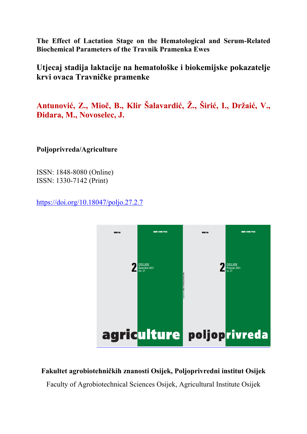**The Effect of Lactation Stage on the Hematological and Serum-Related Biochemical Parameters of the Travnik Pramenka Ewes**

**Utjecaj stadija laktacije na hematološke i biokemijske pokazatelje krvi ovaca Travničke pramenke** 

**Antunović, Z., Mioč, B., Klir Šalavardić, Ž., Širić, I., Držaić, V., Đidara, M., Novoselec, J.**

**Poljoprivreda/Agriculture** 

ISSN: 1848-8080 (Online) ISSN: 1330-7142 (Print)

https://doi.org/10.18047/poljo.27.2.7



**Fakultet agrobiotehničkih znanosti Osijek, Poljoprivredni institut Osijek** 

Faculty of Agrobiotechnical Sciences Osijek, Agricultural Institute Osijek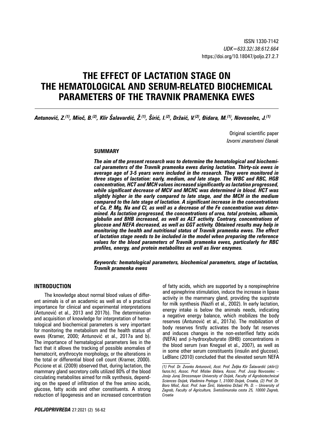# **THE EFFECT OF LACTATION STAGE ON THE HEMATOLOGICAL AND SERUM-RELATED BIOCHEMICAL PARAMETERS OF THE TRAVNIK PRAMENKA EWES**

Antunović, Z.<sup>(1)</sup>, Mioč, B.<sup>(2)</sup>, Klir Šalavardić, Ž.<sup>(1)</sup>, Širić, I.<sup>(2)</sup>, Držaić, V.<sup>(2)</sup>, Đidara, M.<sup>(1)</sup>, Novoselec, J.<sup>(1)</sup>

Original scientific paper *Izvorni znanstveni članak*

#### **SUMMARY**

*The aim of the present research was to determine the hematological and biochemical parameters of the Travnik pramenka ewes during lactation. Thirty-six ewes in average age of 3-5 years were included in the research. They were monitored in three stages of lactation: early, medium, and late stage. The WBC and RBC, HGB concentration, HCT and MCH values increased significantly as lactation progressed, while significant decrease of MCV and MCHC was determined in blood. HCT was slightly higher in the early compared to late stage, and the MCH in the medium compared to the late stage of lactation. A significant increase in the concentrations of Ca, P, Mg, Na and Cl, as well as a decrease of the Fe concentration was determined. As lactation progressed, the concentrations of urea, total proteins, albumin, globulin and BHB increased, as well as ALT activity. Contrary, concentrations of glucose and NEFA decreased, as well as GGT activity. Obtained results may help in monitoring the health and nutritional status of Travnik pramenka ewes. The effect of lactation stage needs to be included in the model when preparing the reference values for the blood parameters of Travnik pramenka ewes, particularly for RBC profiles, energy, and protein metabolites as well as liver enzymes.*

*Keywords: hematological parameters, biochemical parameters, stage of lactation, Travnik pramenka ewes* 

# **INTRODUCTION**

The knowledge about normal blood values of different animals is of an academic as well as of a practical importance for clinical and experimental interpretations (Antunović et al., 2013 and 2017b). The determination and acquisition of knowledge for interpretation of hematological and biochemical parameters is very important for monitoring the metabolism and the health status of ewes (Kramer, 2000; Antunović et al., 2017a and b). The importance of hematalogical parameters lies in the fact that it allows the tracking of possible anomalies of hematocrit, erythrocyte morphology, or the alterations in the total or differential blood cell count (Kramer, 2000). Piccione et al. (2009) observed that, during lactation, the mammary gland secretory cells utilized 80% of the blood circulating metabolites aimed for milk synthesis, depending on the speed of infiltration of the free amino acids, glucose, fatty acids and other constituents. A strong reduction of lipogenesis and an increased concentration

of fatty acids, which are supported by a norepinephrine and epinephrine stimulation, induce the increase in lipase activity in the mammary gland, providing the supstrate for milk synthesis (Nazifi et al., 2002). In early lactation, energy intake is below the animals needs, indicating a negative energy balance, which mobilizes the body reserves (Antunović et al., 2017a). The mobilization of body reserves firstly activates the body fat reserves and induces changes in the non-esterified fatty acids (NEFA) and β-hydroxybutyrate (BHB) concentrations in the blood serum (van Knegsel et al., 2007), as well as in some other serum constituents (insulin and glucose). LeBlanc (2010) concluded that the elevated serum NEFA

*<sup>(1)</sup> Prof. Dr. Zvonko Antunović, Asst. Prof. Željka Klir Šalavardić (zklir@ fazos.hr), Assoc. Prof. Mislav Đidara, Assoc. Prof. Josip Novoselec – Josip Juraj Strossmayer University of Osijek, Faculty of Agrobiotechnical Sciences Osijek, Vladimira Preloga 1, 31000 Osijek, Croatia, (2) Prof. Dr. Boro Mioč, Asst. Prof. Ivan Širić, Valentino Držaić Ph. D. – University of Zagreb, Faculty of Agriculture, Svetošimunska cesta 25, 10000 Zagreb, Croatia*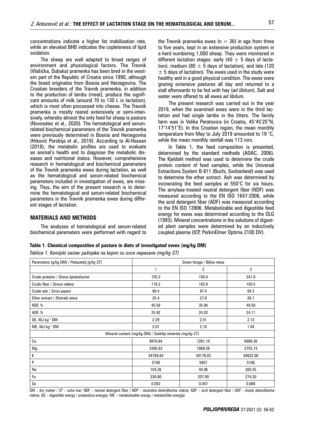concentrations indicate a higher fat mobilisation rate, while an elevated BHB indicates the copleteness of lipid oxidation.

The sheep are well adapted to broad ranges of environment and physiological factors. The Travnik (Vlašićka, Dubska) pramenka has been bred in the western part of the Republic of Croatia since 1990, although the breed originates from Bosnia and Herzegovina. The Croatian breeders of the Travnik pramenka, in addition to the production of lambs (meat), produce the significant amounts of milk (around 70 to 130 L in lactation), which is most often processed into cheese. The Travnik pramenka is mostly reared extensively or semi-intensively, whereby almost the only feed for sheep is pasture (Novoselec et al., 2020). The hematological and serumrelated biochemical parameters of the Travnik pramenka were previously determined in Bosnia and Herzegovina (Hrković Porobija et al., 2019). According to Al-Hassan (2018), the metabolic profiles are used to evaluate an animal's health and to diagnose the metabolic diseases and nutritional status. However, comprehensive research in hematological and biochemical parameters of the Travnik pramenka ewes during lactation, as well as the hematological and serum-related biochemical parameters included in investigation of ewes, are missing. Thus, the aim of the present research is to determine the hematological and serum-related biochemical parameters in the Travnik pramenka ewes during different stages of lactation.

# **MATERIALS AND METHODS**

The analyses of hematological and serum-related biochemical parameters were performed with regard to the Travnik pramenka ewes ( $n = 36$ ) in age from three to five years, kept in an extensive production system in a herd numbering 1,000 sheep. They were monitored in different lactation stages: early (40  $\pm$  5 days of lactation), medium (80  $\pm$  5 days of lactation), and late (120  $\pm$  5 days of lactation). The ewes used in the study were healthy and in a good physical condition. The ewes were grazing extensive pastures all day and returned to a stall afterwards to be fed with hay (*ad libitum*). Salt and water were offered to all ewes *ad libitum*.

The present research was carried out in the year 2019, when the examined ewes were in the third lactation and had single lambs in the litters. The family farm was in Velika Peratovica (in Croatia, 45°45'25"N, 17°14'51"E). In this Croatian region, the mean monthly temperature from May to July 2019 amounted to 19 °C, while the mean monthly rainfall was 113 mm.

In Table 1, the feed composition is presented, determined by the standard methods (AOAC, 2006). The Kjeldahl method was used to determine the crude protein content of feed samples, while the Universal Extractions System B-811 (Buchi, Switzerland) was used to determine the ether extract. Ash was determined by incinerating the feed samples at 550°C for six hours. The amylase-treated neutral detergent fiber (NDF) was measured according to the EN ISO 1647:2006, while the acid detergent fiber (ADF) was measured according to the EN ISO 13906. Metabolizable and digestible feed energy for ewes was determined according to the DLG (1993). Mineral concentrations in the solutions of digested plant samples were determined by an inductively coupled plasma (ICP, PerkinElmer Optima 2100 DV).

#### **Table 1. Chemical composition of pasture in diets of investigated ewes (mg/kg DM)**

*Tablica 1. Kemijski sastav pašnjaka na kojem su ovce napasane (mg/kg ST)*

| Parameters (g/kg DM) / Pokazatelj (g/kg ST)              | Green forage / Biljna masa |                |          |  |  |  |  |
|----------------------------------------------------------|----------------------------|----------------|----------|--|--|--|--|
|                                                          | 1                          | $\overline{c}$ | 3        |  |  |  |  |
| Crude proteins / Sirove bjelančevine                     | 155.3                      | 193.4          | 241.8    |  |  |  |  |
| Crude fiber / Sirova vlakna                              | 178.2                      | 182.8          | 150.5    |  |  |  |  |
| Crude ash / Sirovi pepeo                                 | 89.4                       | 87.4           | 84.3     |  |  |  |  |
| Ether extract / Ekstrakt etera                           | 25.4                       | 27.8           | 26.1     |  |  |  |  |
| NDF, %                                                   | 45.58                      | 35.94          | 49.50    |  |  |  |  |
| ADF, %                                                   | 25.92                      | 24.03          | 24.11    |  |  |  |  |
| DE, MJ kg <sup>-1</sup> DM                               | 2.29                       | 2.41           | 2.13     |  |  |  |  |
| ME, MJ kg <sup>-1</sup> DM                               | 2.01                       | 2.10           | 1.84     |  |  |  |  |
| Mineral content (mg/kg DM) / Sadržaj minerala (mg/kg ST) |                            |                |          |  |  |  |  |
| Ca                                                       | 8870.84                    | 7261.10        | 6986.36  |  |  |  |  |
| Mg                                                       | 3395.83                    | 1869.26        | 2755.74  |  |  |  |  |
| К                                                        | 44769.84                   | 39178.03       | 49822.06 |  |  |  |  |
| P                                                        | 5748                       | 5857           | 5100     |  |  |  |  |
| Na                                                       | 104.36                     | 40.96          | 205.55   |  |  |  |  |
| Fe                                                       | 226.60                     | 207.90         | 274.30   |  |  |  |  |
| Se                                                       | 0.052                      | 0.047          | 0.066    |  |  |  |  |

DM – dry matter / *ST – suha tvar*; NDF – neutral detergent fiber / *NDF – neutralna deterdžentna vlakna*; ADF – acid detergent fiber / *ADF – kisela deterdžentna vlakna;* DE – digestible energy / *probavljiva energija;* ME – metabolisable energy / *metabolička energija*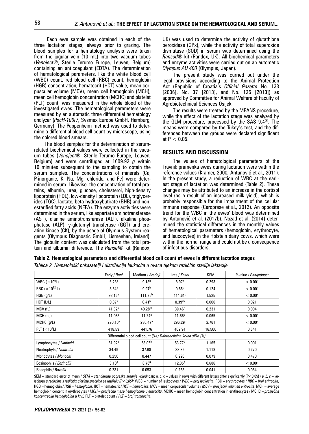Each ewe sample was obtained in each of the three lactation stages, always prior to grazing. The blood samples for a hematology analysis were taken from the jugular vein (10 mL) into two vacuum tubes (*Venoject®*, Sterile Terumo Europe, Leuven, Belgium) containing an anticoagulant (EDTA). The determination of hematological parameters, like the white blood cell (WBC) count, red blood cell (RBC) count, hemoglobin (HGB) concentration, hematocrit (HCT) value, mean corpuscular volume (MCV), mean cell hemoglobin (MCH), mean cell hemoglobin concentration (MCHC) and platelet (PLT) count, was measured in the whole blood of the investigated ewes. The hematological parameters were measured by an automatic three differential hematology analyzer (*PocH-100iV*, Sysmex Europe GmbH, Hamburg, Germany). The Pappenheim method was used to determine a differential blood cell count by microscope, using the colored blood smears.

The blood samples for the determination of serumrelated biochemical values were collected in the vacuum tubes (*Venoject®*, Sterile Terumo Europe, Leuven, Belgium) and were centrifuged at 1609.92 *g* within 10 minutes subsequent to the sampling to obtain the serum samples. The concentrations of minerals (Ca, P-inorganic, K, Na, Mg, chloride, and Fe) were determined in serum. Likewise, the concentration of total proteins, albumin, urea, glucose, cholesterol, high-density lipoprotein (HDL), low-density lipoprotein (LDL), triglycerides (TGC), lactate, beta-hydroxybutirate (BHB) and nonesterified fatty acids (NEFA). The enzyme activities were determined in the serum, like aspartate aminotransferase (AST), alanine aminotransferase (ALT), alkaline phosphatase (ALP), γ-glutamyl transferase (GGT) and creatine kinase (CK), by the usage of Olympus System reagents (Olympus Diagnostic GmbH, Lismeehan, Ireland). The globulin content was calculated from the total protein and albumin difference. The *Ransel®* kit (Randox,

UK) was used to determine the activity of glutathione peroxidase (GPx), while the activity of total superoxide dismutase (SOD) in serum was determined using the *Ransod®* kit (Randox, UK). All biochemical parameters and enzyme activities were carried out on an automatic *Olympus AU 400* (Olympus, Japan).

The present study was carried out under the legal provisions according to the Animal Protection Act (Republic of Croatia's *Official Gazette* No. 133 [2006], No. 37 [2013], and No. 125 [2013]) as approved by Committee for Animal Welfare of Faculty of Agrobiotechnical Sciences Osijek

The results were treated by the MEANS procedure, while the effect of the lactation stage was analyzed by the GLM procedure, processed by the SAS 9.4®. The means were compared by the Tukey's test, and the differences between the groups were declared significant at  $P < 0.05$ .

### **RESULTS AND DISCUSSION**

The values of hematological parameters of the Travnik pramenka ewes during lactation were within the reference values (Kramer, 2000; Antunović et al., 2011). In the present study, a reduction of WBC at the earliest stage of lactation was determined (Table 2). These changes may be attributed to an increase in the cortisol level (as a result of an increased milk yield), which is probably responsible for the impairment of the cellular immune response (Caroprese et al., 2012). An opposite trend for the WBC in the ewes' blood was determined by Antunović et al. (2017b). Nozad et al. (2014) determined the statistical differences in the monthly values of hematological parameters (hemoglobin, erythrocyte, and leucocytes) in the Holstein dairy cows, which were within the normal range and could not be a consequence of infectious disorders.

| Table 2. Hematological parameters and differential blood cell count of ewes in different lactation stages |  |  |  |  |  |
|-----------------------------------------------------------------------------------------------------------|--|--|--|--|--|
|-----------------------------------------------------------------------------------------------------------|--|--|--|--|--|

*Tablica 2. Hematološki pokazatelji i distribucija leukocita u ovaca tijekom različitih stadija laktacije*

|                                                                    | Early / Rani        | Medium / Srednji    | Late / <i>Kasni</i> | <b>SEM</b> | P-value / P-vrijednost |  |
|--------------------------------------------------------------------|---------------------|---------------------|---------------------|------------|------------------------|--|
| WBC ( $\times$ 10 <sup>9</sup> L)                                  | 6.28a               | 9.13 <sup>b</sup>   | 8.97 <sup>b</sup>   | 0.293      | < 0.001                |  |
| RBC ( $\times$ 10 <sup>12</sup> L)                                 | 8.84 <sup>a</sup>   | 9.97 <sup>b</sup>   | 9.85 <sup>b</sup>   | 0.124      | < 0.001                |  |
| HGB (q/L)                                                          | 98.15 <sup>a</sup>  | 111.95 <sup>b</sup> | 114.61 <sup>b</sup> | 1.525      | < 0.001                |  |
| HCT (L/L)                                                          | 0.37 <sup>a</sup>   | 0.41 <sup>b</sup>   | 0.39 <sup>ab</sup>  | 0.006      | 0.021                  |  |
| MCV (fL)                                                           | 41.32 <sup>a</sup>  | 40.28 <sup>ab</sup> | 39.46 <sup>b</sup>  | 0.231      | 0.004                  |  |
| MCH(pq)                                                            | 11.08 <sup>a</sup>  | 11.24a              | 11.66 <sup>b</sup>  | 0.065      | < 0.001                |  |
| $MCHC$ ( $q/L$ )                                                   | 270.10 <sup>a</sup> | 280.47 <sup>a</sup> | 296.29 <sup>b</sup> | 2.761      | < 0.001                |  |
| PLT ( $\times$ 10 <sup>9</sup> L)                                  | 418.59              | 441.76              | 402.94              | 16.506     | 0.641                  |  |
| Differential blood cell count (%) / Diferencijalna krvna slika (%) |                     |                     |                     |            |                        |  |
| Lymphocytes / Limfociti                                            | 61.92 <sup>a</sup>  | $53.05^{b}$         | 53.77 <sup>b</sup>  | 1.165      | 0.001                  |  |
| Neutrophyls / Neutrofili                                           | 34.49               | 37.68               | 33.39               | 1.118      | 0.270                  |  |
| Monocytes / Monociti                                               | 0.256               | 0.447               | 0.226               | 0.079      | 0.470                  |  |
| Eosinophils / Eozinofili                                           | $3.10^{a}$          | 8.76 <sup>a</sup>   | 12.35 <sup>c</sup>  | 0.686      | < 0.001                |  |
| Basophils / Bazofili                                               | 0.231               | 0.053               | 0.258               | 0.041      | 0.084                  |  |

SEM – standard error of mean / *SEM – standardna pogreška srednje vrijednosti*; a, b, c – values in rows with different letters differ significantly (P<0.05) / *a, b, c – vrijednosti u redovima s različitim slovima značajno se razlikuju (P<0,05);* WBC – number of leukocytes / *WBC – broj leukocita*, RBC – erythrocytes / *RBC – broj eritrocita*, HGB – hemoglobin / *HGB – hemoglobin*, HCT – hematocrit / *HCT – hematokrit*, MCV – mean corpuscular volume / *MCV – prosječni volumen eritrocita*, MCH – average hemoglobin content in erythrocytes / *MCH – prosječna masa hemoglobina u eritrocitu*, MCHC – mean hemoglobin concentration in erythrocytes / MCHC – *prosječna koncentracija hemoglobina u krvi,* PLT – platelet count / *PLT – broj trombocita*.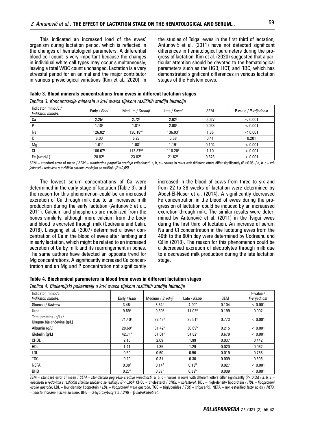This indicated an increased load of the ewes' organism during lactation period, which is reflected in the changes of hematological parameters. A differential blood cell count is very important because the changes in individual white cell types may occur simultaneously, leaving a total WBC count unchanged. Lactation is a very stressful period for an animal and the major contributor in various physiological variations (Kim et al., 2020). In the studies of Tsigai ewes in the first third of lactation, Antunović et al. (2011) have not detected significant differences in hematological parameters during the progress of lactation. Kim et al. (2020) suggested that a particular attention should be devoted to the hematological parameters such as the HGB, HCT, and RBC, which has demonstrated significant differences in various lactation stages of the Holstein cows.

| Indicator, mmol/L /<br>Indikator, mmol/L | Early / Rani      | Medium / Srednji   | Late / Kasni        | <b>SEM</b> | P-value / P-vrijednost |
|------------------------------------------|-------------------|--------------------|---------------------|------------|------------------------|
| Сa                                       | 2.25 <sup>a</sup> | 2.72 <sup>b</sup>  | 2.62 <sup>b</sup>   | 0.027      | < 0.001                |
|                                          | 1.18 <sup>a</sup> | 1.81a              | 2.08 <sup>b</sup>   | 0.038      | < 0.001                |
| Na                                       | $126.82^a$        | $130.18^{ab}$      | 136.93 <sup>b</sup> | 1.36       | < 0.001                |
| N                                        | 6.00              | 6.27               | 6.58                | 0.41       | 0.201                  |
| Mg                                       | 1.01 <sup>a</sup> | 1.08 <sup>b</sup>  | 1.19 <sup>c</sup>   | 0.104      | < 0.001                |
| CI                                       | $106.67^{\circ}$  | $112.87^{ab}$      | $118.20^{b}$        | 1.10       | < 0.001                |
| Fe $(\mu$ mol/L)                         | 28.02a            | 23.02 <sup>b</sup> | 21.62 <sup>b</sup>  | 0.623      | < 0.001                |

**Table 3. Blood minerals concentrations from ewes in different lactation stages** *Tablica 3. Koncentracije minerala u krvi ovaca tijekom različitih stadija laktacije* 

SEM – standard error of mean / *SEM – standardna pogreška srednje vrijednosti*; a, b, c – values in rows with different letters differ significantly (P<0.05) / *a, b, c – vrijednosti u redovima s različitim slovima značajno se razlikuju (P<0,05).*

The lowest serum concentrations of Ca were determined in the early stage of lactation (Table 3), and the reason for this phenomenon could be an increased excretion of Ca through milk due to an increased milk production during the early lactation (Antunović et al., 2011). Calcium and phosphorus are mobilized from the bones similarly, although more calcium from the body and blood is excreted through milk (Codreanu and Calin, 2018). Liesgang et al. (2007) determined a lower concentration of Ca in the blood of ewes after lambing and in early lactation, which might be related to an increased secretion of Ca by milk and its rearrangement in bones. The same authors have detected an opposite trend for Mg concentrations. A significantly increased Ca concentration and an Mg and P concentration not significantly

increased in the blood of cows from three to six and from 22 to 38 weeks of lactation were determined by Abdel-El-Naser et al. (2014). A significantly decreased Fe concentration in the blood of ewes during the progression of lactation could be induced by an increaesed excretion through milk. The similar results were determined by Antunović et al. (2011) in the Tsigai ewes during the first third of lactation. An increase of serum Na and Cl concentration in the lactating ewes from the 40th to the 60th day were determined by Codreanu and Călin (2018). The reason for this phenomenon could be a decreased excretion of electrolytes through milk due to a decreased milk production during the late lactation stage.

# **Table 4. Biochemical parameters in blood from ewes in different lactation stages**

|  |  | Tablica 4. Biokemijski pokazatelji u krvi ovaca tijekom različitih stadija laktacije |
|--|--|--------------------------------------------------------------------------------------|
|  |  |                                                                                      |

| Indicator, mmol/L                                   |                    |                    |                    |            | P-value /    |
|-----------------------------------------------------|--------------------|--------------------|--------------------|------------|--------------|
| Indikator, mmol/L                                   | Early / Rani       | Medium / Srednji   | Late / Kasni       | <b>SEM</b> | P-vrijednost |
| Glucose / Glukoza                                   | 3.46 <sup>b</sup>  | 3.64 <sup>b</sup>  | 4.90 <sup>a</sup>  | 0.104      | < 0.001      |
| Urea                                                | 9.69 <sup>a</sup>  | 9.39 <sup>a</sup>  | 11.02 <sup>b</sup> | 0.199      | 0.002        |
| Total proteins (g/L) /<br>Ukupne bjelančevine (q/L) | 71.40 <sup>a</sup> | $82.43^{b}$        | 85.51c             | 0.773      | < 0.001      |
| Albumin (q/L)                                       | 28.69a             | 31.42 <sup>b</sup> | 30.69 <sup>b</sup> | 0.215      | < 0.001      |
| Globulin (q/L)                                      | 42.71a             | 51.01 <sup>b</sup> | 54.82c             | 0.679      | < 0.001      |
| CHOL                                                | 2.10               | 2.09               | 1.99               | 0.037      | 0.442        |
| <b>HDL</b>                                          | 1.41               | 1.35               | 1.29               | 0.020      | 0.062        |
| LDL                                                 | 0.59               | 0.60               | 0.56               | 0.019      | 0.768        |
| TGC                                                 | 0.29               | 0.31               | 0.30               | 0.009      | 0.695        |
| <b>NEFA</b>                                         | 0.38 <sup>a</sup>  | 0.14 <sup>b</sup>  | 0.13 <sup>b</sup>  | 0.027      | < 0.001      |
| <b>BHB</b>                                          | 0.27a              | 0.37 <sup>b</sup>  | 0.39 <sup>b</sup>  | 0.009      | < 0.001      |

SEM – standard error of mean / *SEM – standardna pogreška srednje vrijednosti*; a, b, c – values in rows with different letters differ significantly (P<0.05) / *a, b, c – vrijednosti u redovima s različitim slovima značajno se razlikuju (P<0,05);* CHOL – cholesterol / *CHOL – kolesterol*, HDL – high-density lipoprotein / *HDL – lipoproteini visoke gustoće*, LDL – low-density lipoprotein / *LDL – lipoproteini male gustoće*, TGC – triglycerides / *TGC – trigliceridi*, NEFA – non-esterified fatty acids / *NEFA – neesterificirane masne kiseline*, BHB – β-hydroxybutyrate / *BHB –* β-*hidroksibutirat*.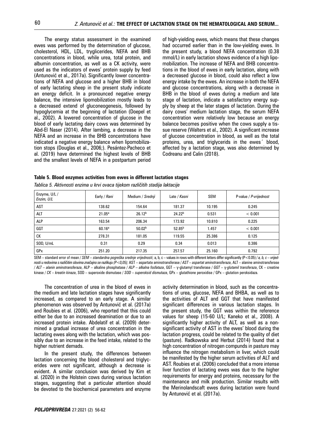The energy status assessment in the examined ewes was performed by the determination of glucose, cholesterol, HDL, LDL, tryglicerides, NEFA and BHB concentrations in blood, while urea, total protein, and albumin concentration, as well as a CK activity, were used as the indicators of ewes' protein supply by feed (Antunović et al., 2017a). Significantly lower concentrations of NEFA and glucose and a higher BHB in blood of early lactating sheep in the present study indicate an energy deficit. In a pronounced negative energy balance, the intensive lipomobilization mostly leads to a decreased extend of gluconeogenesis, followed by hypoglycemia at the beginning of lactation (Doepel et al., 2002). A lowered concentration of glucose in the blood of early lactating dairy cows was determined by Abd-El Naser (2014). After lambing, a decrease in the NEFA and an increase in the BHB concentrations have indicated a negative energy balance when lipomobilization stops (Douglas et al., 2006;). Pesántez-Pacheco et al. (2019) have determined the highest levels of BHB and the smallest levels of NEFA in a postpartum period of high-yielding ewes, which means that these changes had occurred earlier than in the low-yielding ewes. In the present study, a blood NEFA concentration (0.38 mmol/L) in early lactation shows evidence of a high lipomobilization. The increase of NEFA and BHB concentrations in the blood of ewes in early lactation, along with a decreased glucose in blood, could also reflect a low energy intake by the ewes. An increase in both the NEFA and glucose concentrations, along with a decrease in BHB in the blood of ewes during a medium and late stage of lactation, indicate a satisfactory energy supply by sheep at the later stages of lactation. During the dairy cows' medium lactation stage, the serum NEFA concentration were relatively low because an energy balance becomes positive when the cows supply a tissue reserve (Walters et al., 2002). A significant increase of glucose concentration in blood, as well as the total proteins, urea, and triglycerids in the ewes´ blood, affected by a lactation stage, was also determined by Codreanu and Calin (2018).

#### **Table 5. Blood enzymes activities from ewes in different lactation stages**

| Enzyme, U/L /<br>Enzim, U/L | Early / Rani | Medium / Srednji   | Late / Kasni       | SEM    | P-value / P-vrijednost |
|-----------------------------|--------------|--------------------|--------------------|--------|------------------------|
| <b>AST</b>                  | 138.62       | 154.64             | 181.37             | 10.195 | 0.245                  |
| <b>ALT</b>                  | $21.05^a$    | $26.12^{b}$        | 24.22 <sup>b</sup> | 0.531  | < 0.001                |
| <b>ALP</b>                  | 163.54       | 206.34             | 173.92             | 10.810 | 0.225                  |
| GGT                         | 60.16a       | 50.02 <sup>b</sup> | $52.85^{b}$        | 1.457  | < 0.001                |
| СK                          | 278.31       | 181.05             | 119.55             | 25.386 | 0.125                  |
| SOD, U/mL                   | 0.31         | 0.29               | 0.34               | 0.013  | 0.386                  |
| GPx                         | 251.20       | 217.35             | 257.57             | 25.160 | 0.792                  |

*Tablica 5. Aktivnosti enzima u krvi ovaca tijekom različitih stadija laktacije* 

SEM – standard error of mean / *SEM – standardna pogreška srednje vrijednosti*; a, b, c – values in rows with different letters differ significantly (P<0.05) / *a, b, c – vrijednosti u redovima s različitim slovima značajno se razlikuju (P<0,05);* AST – aspartate aminotransferase / *AST – aspartat aminotransferaza*, ALT – alanine aminotransferase / *ALT – alanin aminotransferaza*, ALP – alkaline phosphatase / *ALP – alkalna fosfataza*, GGT – γ-glutamyl transferase / *GGT –* γ-*glutamil transferaza*, CK – creatine kinase / *CK – kreatin kinaza*, SOD – superoxide dismutase / *SOD – superoksid dismutaza*, GPx – glutathione peroxidise / GPx – glutation peroksidaza.

The concentration of urea in the blood of ewes in the medium and late lactation stages have significantly increased, as compared to an early stage. A similar phenomenon was observed by Antunović et al. (2017a) and Roubies et al. (2006), who reported that this could either be due to an increased deamination or due to an increased protein intake. Abdelatif et al. (2009) determined a gradual increase of urea concentration in the lactating ewes along with the lactation, which was possibly due to an increase in the feed intake, related to the higher nutrient demads.

In the present study, the differences between lactation concerning the blood cholesterol and triglycerides were not significant, although a decrease is evident. A similar conclusion was derived by Kim et al. (2020) in the Holstein cows during various lactation stages, suggesting that a particular attention should be devoted to the biochemical parameters and enzyme activity determination in blood, such as the concentrations of urea, glucose, NEFA and BHBA, as well as to the activities of ALT and GGT that have manifested significant differences in various lactation stages. In the present study, the GGT was within the reference values for sheep (15-60 U/L; Kaneko et al., 2008). A significantly higher activity of ALT, as well as a nonsignificant activity of AST in the ewes' blood during the lactation progress, could be related to the quality of diet (pasture). Radkowska and Herbut (2014) found that a high concentration of nitrogen compunds in pasture may influence the nitrogen metabolism in liver, which could be manifested by the higher serum activities of ALT and AST. Roubies et al. (2006) concluded that a more intense liver function of lactating ewes was due to the higher requirements for energy and proteins, necessary for the maintenance and milk production. Similar results with the Merinolandscaft ewes during lactation were found by Antunović et al. (2017a).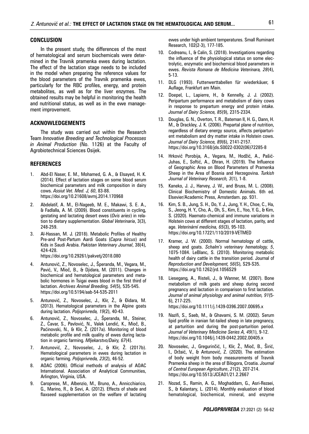#### **CONCLUSION**

In the present study, the differences of the most of hematological and serum biochemicals were determined in the Travnik pramenka ewes during lactation. The effect of the lactation stage needs to be included in the model when preparing the reference values for the blood parameters of the Travnik pramenka ewes, particularly for the RBC profiles, energy, and protein metabolites, as well as for the liver enzymes. The obtained results may be helpful in monitoring the health and nutritional status, as well as in the ewe management improvement.

#### **ACKNOWLEDGEMENTS**

The study was carried out within the Research Team *Innovative Breeding and Technological Processes in Animal Production* (No. 1126) at the Faculty of Agrobiotechnical Sciences Osijek.

#### **REFERENCES**

- 1. Abd-El Naser, E. M., Mohamed, G. A., & Elsayed, H. K. (2014). Effect of lactation stages on some blood serum biochemical parameters and milk composition in dairy cows. *Assiut Vet. Med. J, 60*, 83-88. https://doi.org/10.21608/avmj.2014.170968
- 2. Abdelatif, A. M., El-Nageeb, M. E., Makawi, S. E. A., & Fadlalla, A. M. (2009). Blood constituents in cycling, gestating and lactating desert ewes (*Ovis aries*) in relation to dietary supplementation. *Global Veterinaria*, 3(3), 248-259.
- 3. Al-Hassan, M. J. (2018). Metabolic Profiles of Healthy Pre-and Post-Partum Aardi Goats (*Capra hircus*) and Kids in Saudi Arabia. *Pakistan Veterinary Journal*, 38(4), 424-428.

https://doi.org/10.29261/pakvetj/2018.080

- 4. Antunović, Z., Novoselec, J., Šperanda, M., Vegara, M., Pavić, V., Mioč, B., & Djidara, M. (2011). Changes in biochemical and hematological parameters and metabolic hormones in Tsigai ewes blood in the first third of lactation. *Archives Animal Breeding, 54*(5), 535-545. https://doi.org/10.5194/aab-54-535-2011
- 5. Antunović, Z., Novoselec, J., Klir, Ž., & Đidara, M. (2013). Hematological parameters in the Alpine goats during lactation. *Poljoprivreda, 19*(2), 40-43.
- 6. Antunović, Z., Novoselec, J., Šperanda, M., Steiner, Z., Ćavar, S., Pavlović, N., Valek Lendić, K., Mioč, B., Paćinovski, N., & Klir, Ž. (2017a). Monitoring of blood metabolic profile and milk quality of ewes during lactation in organic farming. *Mljekarstvo/Dairy, 67*(4).
- 7. Antunović, Z., Novoselec, J., & Klir, Ž. (2017b). Hematological parameters in ewes during lactation in organic farming. *Poljoprivreda, 23*(2), 46-52.
- 8. AOAC (2006). Official methods of analysis of AOAC International. Association of Analytical Communities, Arlington, Virginia, USA.
- 9. Caroprese, M., Albenzio, M., Bruno, A., Annicchiarico, G., Marino, R., & Sevi, A. (2012). Effects of shade and flaxseed supplementation on the welfare of lactating

ewes under high ambient temperatures. Small Ruminant Research, 102(2-3), 177-185.

- 10. Codreanu, I., & Calin, S. (2018). Investigations regarding the influence of the physiological status on some electrolytic, enzymatic and biochemical blood parameters in ewes. *Revista Romana de Medicina Veterinara, 28*(4), 5-13.
- 11. DLG (1993). Futterwerttabellen für wiederkäuer, 6 Auflage, Frankfurt am Main.
- 12. Doepel, L., Lapierre, H., & Kennelly, J. J. (2002). Peripartum performance and metabolism of dairy cows in response to prepartum energy and protein intake. *Journal of Dairy Science, 85*(9), 2315-2334.
- 13. Douglas, G. N., Overton, T. R., Bateman II, H. G., Dann, H. M., & Drackley, J. K. (2006). Prepartal plane of nutrition, regardless of dietary energy source, affects periparturient metabolism and dry matter intake in Holstein cows. *Journal of Dairy Science, 89*(6), 2141-2157. https://doi.org/10.3168/jds.S0022-0302(06)72285-8
- 14. Hrković Porobija, A., Vegara, M., Hodžić, A., Pašić-Juhas, E., Softić, A., Ohran, H. (2019). The Influence of Geographic Area on Blood Parameters of Pramenka Sheep in the Area of Bosnia and Herzegovina. *Turkish Journal of Veterinary Research, 3*(1), 1-8.
- 15. Kaneko, J. J., Harvey, J. W., and Bruss, M. L. (2008). Clinical Biochemistry of Domestic Animals. 6th ed. Elsevier/Academic Press, Amsterdam. pp. 931.
- 16. Kim, S. B., Jung, S. H., Do, Y. J., Jung, Y. H., Choe, C., Ha, S., Jeong, H. Y., Cho, A., Oh, S., Kim, E., Yoo, Y. G., & Kim, S. (2020). Haemato-chemical and immune variations in Holstein cows at different stages of lactation, parity, and age. *Veterinární medicína, 65*(3), 95-103. https://doi.org/10.17221/110/2019-VETMED
- 17. Kramer, J. W. (2000). Normal hematology of cattle, sheep and goats. *Schalm's veterinary hematology, 5*, 1075-1084. LeBlanc, S. (2010). Monitoring metabolic health of dairy cattle in the transition period. Journal of *Reproduction and Development, 56*(S), S29-S35. https://doi.org/10.1262/jrd.1056S29
- 18. Liesegang, A., Risteli, J., & Wanner, M. (2007). Bone metabolism of milk goats and sheep during second pregnancy and lactation in comparison to first lactation. *Journal of animal physiology and animal nutrition, 91*(5- 6), 217-225. https://doi.org/10.1111/j.1439-0396.2007.00695.x
- 19. Nazifi, S., Saeb, M., & Ghavami, S. M. (2002). Serum lipid profile in iranian fat-tailed sheep in late pregnancy, at parturition and during the post-parturition period. *Journal of Veterinary Medicine Series A, 49*(1), 9-12. https://doi.org/10.1046/j.1439-0442.2002.00405.x
- 20. Novoselec, J., Gregurinčić, I., Klir, Ž., Mioč, B., Širić, I., Držaić, V., & Antunović, Z. (2020). The estimation of body weight from body measurements of Travnik Pramenka sheep in the area of Bilogora, Croatia. *Journal of Central European Agriculture*, *21*(2), 207-214. https://doi.org/10.5513/JCEA01/21.2.2667
- 21. Nozad, S., Ramin, A. G., Moghaddam, G., Asri-Rezaei, S., & Kalantary, L. (2014). Monthly evaluation of blood hematological, biochemical, mineral, and enzyme